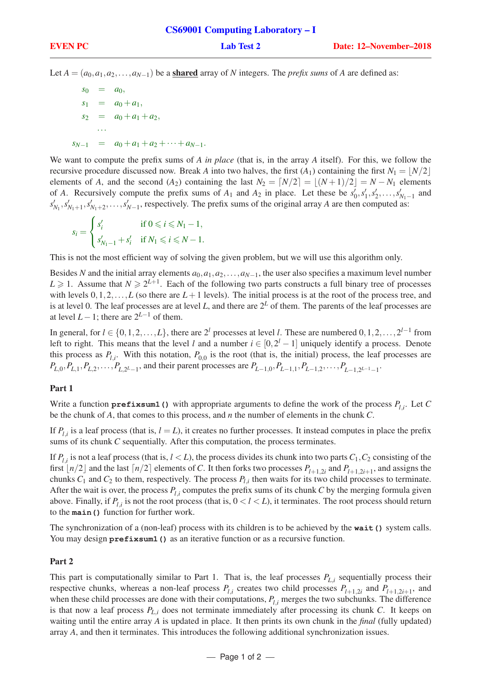Let  $A = (a_0, a_1, a_2, \ldots, a_{N-1})$  be a shared array of *N* integers. The *prefix sums* of *A* are defined as:

 $s_0 = a_0$ ,  $s_1 = a_0 + a_1$ ,  $s_2 = a_0 + a_1 + a_2$ ···  $s_{N-1} = a_0 + a_1 + a_2 + \cdots + a_{N-1}.$ 

We want to compute the prefix sums of *A in place* (that is, in the array *A* itself). For this, we follow the recursive procedure discussed now. Break *A* into two halves, the first  $(A_1)$  containing the first  $N_1 = |N/2|$ elements of *A*, and the second  $(A_2)$  containing the last  $N_2 = \lfloor N/2 \rfloor = \lfloor (N+1)/2 \rfloor = N - N_1$  elements of *A*. Recursively compute the prefix sums of  $A_1$  and  $A_2$  in place. Let these be  $s'_0, s'_1, s'_2, \ldots, s'_{N_1-1}$  and  $s'_{N_1}, s'_{N_1+1}, s'_{N_1+2}, \ldots, s'_{N-1}$ , respectively. The prefix sums of the original array *A* are then computed as:

$$
s_i = \begin{cases} s'_i & \text{if } 0 \leq i \leq N_1 - 1, \\ s'_{N_1 - 1} + s'_i & \text{if } N_1 \leq i \leq N - 1. \end{cases}
$$

This is not the most efficient way of solving the given problem, but we will use this algorithm only.

Besides *N* and the initial array elements  $a_0, a_1, a_2, \ldots, a_{N-1}$ , the user also specifies a maximum level number  $L \geq 1$ . Assume that  $N \geq 2^{L+1}$ . Each of the following two parts constructs a full binary tree of processes with levels  $0,1,2,\ldots,L$  (so there are  $L+1$  levels). The initial process is at the root of the process tree, and is at level 0. The leaf processes are at level L, and there are  $2^L$  of them. The parents of the leaf processes are at level  $L-1$ ; there are  $2^{L-1}$  of them.

In general, for  $l \in \{0, 1, 2, ..., L\}$ , there are  $2^l$  processes at level *l*. These are numbered  $0, 1, 2, ..., 2^{l-1}$  from left to right. This means that the level *l* and a number  $i \in [0, 2^l - 1]$  uniquely identify a process. Denote this process as  $P_{l,i}$ . With this notation,  $P_{0,0}$  is the root (that is, the initial) process, the leaf processes are  $P_{L,0}, P_{L,1}, P_{L,2}, \ldots, P_{L,2^{L}-1}$ , and their parent processes are  $P_{L-1,0}, P_{L-1,1}, P_{L-1,2}, \ldots, P_{L-1,2^{L-1}-1}$ .

# Part 1

Write a function **prefixsum1()** with appropriate arguments to define the work of the process *Pl*,*<sup>i</sup>* . Let *C* be the chunk of *A*, that comes to this process, and *n* the number of elements in the chunk *C*.

If  $P_{l,i}$  is a leaf process (that is,  $l = L$ ), it creates no further processes. It instead computes in place the prefix sums of its chunk *C* sequentially. After this computation, the process terminates.

If  $P_{l,i}$  is not a leaf process (that is,  $l < L$ ), the process divides its chunk into two parts  $C_1, C_2$  consisting of the first  $\lfloor n/2 \rfloor$  and the last  $\lceil n/2 \rceil$  elements of *C*. It then forks two processes  $P_{l+1,2i}$  and  $P_{l+1,2i+1}$ , and assigns the chunks  $C_1$  and  $C_2$  to them, respectively. The process  $P_{l,i}$  then waits for its two child processes to terminate. After the wait is over, the process  $P_{l,i}$  computes the prefix sums of its chunk  $C$  by the merging formula given above. Finally, if  $P_{l,i}$  is not the root process (that is,  $0 < l < L$ ), it terminates. The root process should return to the **main()** function for further work.

The synchronization of a (non-leaf) process with its children is to be achieved by the **wait()** system calls. You may design **prefixsum1** () as an iterative function or as a recursive function.

# Part 2

This part is computationally similar to Part 1. That is, the leaf processes  $P_{L,i}$  sequentially process their respective chunks, whereas a non-leaf process  $P_{l,i}$  creates two child processes  $P_{l+1,2i}$  and  $P_{l+1,2i+1}$ , and when these child processes are done with their computations,  $P_{l,i}$  merges the two subchunks. The difference is that now a leaf process *PL*,*<sup>i</sup>* does not terminate immediately after processing its chunk *C*. It keeps on waiting until the entire array *A* is updated in place. It then prints its own chunk in the *final* (fully updated) array *A*, and then it terminates. This introduces the following additional synchronization issues.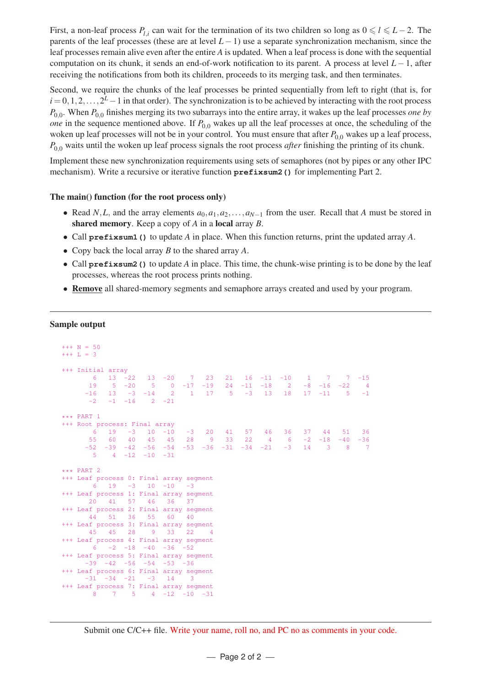First, a non-leaf process  $P_{l,i}$  can wait for the termination of its two children so long as  $0 \le l \le L-2$ . The parents of the leaf processes (these are at level  $L-1$ ) use a separate synchronization mechanism, since the leaf processes remain alive even after the entire *A* is updated. When a leaf process is done with the sequential computation on its chunk, it sends an end-of-work notification to its parent. A process at level *L*−1, after receiving the notifications from both its children, proceeds to its merging task, and then terminates.

Second, we require the chunks of the leaf processes be printed sequentially from left to right (that is, for *i* = 0, 1, 2, . . . , 2<sup>*L*</sup> − 1 in that order). The synchronization is to be achieved by interacting with the root process *P*0,<sup>0</sup> . When *P*0,<sup>0</sup> finishes merging its two subarrays into the entire array, it wakes up the leaf processes *one by one* in the sequence mentioned above. If  $P_{0,0}$  wakes up all the leaf processes at once, the scheduling of the woken up leaf processes will not be in your control. You must ensure that after  $P_{0,0}$  wakes up a leaf process, *P*<sub>0.0</sub> waits until the woken up leaf process signals the root process *after* finishing the printing of its chunk.

Implement these new synchronization requirements using sets of semaphores (not by pipes or any other IPC mechanism). Write a recursive or iterative function **prefixsum2** () for implementing Part 2.

# The main() function (for the root process only)

- Read *N*,*L*, and the array elements  $a_0, a_1, a_2, \ldots, a_{N-1}$  from the user. Recall that *A* must be stored in shared memory. Keep a copy of *A* in a local array *B*.
- Call **prefixsum1()** to update *A* in place. When this function returns, print the updated array *A*.
- Copy back the local array *B* to the shared array *A*.
- Call **prefixsum2()** to update *A* in place. This time, the chunk-wise printing is to be done by the leaf processes, whereas the root process prints nothing.
- Remove all shared-memory segments and semaphore arrays created and used by your program.

#### Sample output

```
+++ N = 50+++ L = 3
_{+++} Initial array<br>6 _{-13} -22
                6 13 -22 13 -20 7 23 21 16 -11 -10 1 7 7 -15
      19 5 -20 5 0 -17 -19 24 -11 -18 2 -8 -16 -22 4
     -16 13 -3 -14 2 1 17 5 -3 13 18 17 -11 5 -1
      -2 -1 -16 2 -21*** PART 1
+++ Root process: Final array
      6 19 -3 10 -10 -3 20 41 57 46 36 37 44 51 36
      55 60 40 45 45 28 9 33 22 4 6 -2 -18 -40 -36
     -52 -39 -42 -56 -54 -53 -36 -31 -34 -21 -3 14 3 8 7
      5 4 -12 -10 -31
*** PART 2
+++ Leaf process 0: Final array segment
     6 19 -3 10 -10 -3+++ Leaf process 1: Final array segment
    20 41 57 46 36 37
+++ Leaf process 2: Final array segment
     44 51 36 55 60 40
+++ Leaf process 3: Final array segment
     45 45 28 9 33 22 4
+++ Leaf process 4: Final array segment
     6 -2 -18 -40 -36 -52+++ Leaf process 5: Final array segment
    -39 -42 -56 -54 -53 -36+++ Leaf process 6: Final array segment<br>-31 -34 -21 -3 14 3
    -31 -34 -21 -3 14 3
+++ Leaf process 7: Final array segment
     8 7 5 4 -12 -10 -31
```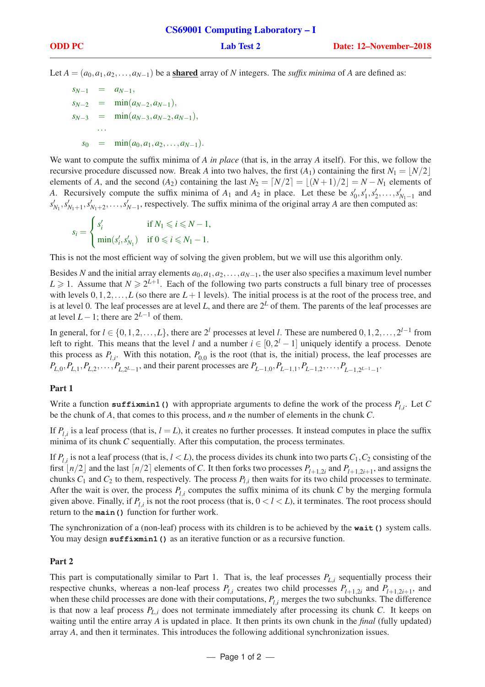Let  $A = (a_0, a_1, a_2, \ldots, a_{N-1})$  be a **shared** array of *N* integers. The *suffix minima* of *A* are defined as:

 $s_{N-1} = a_{N-1}$  $s_{N-2} = \min(a_{N-2}, a_{N-1}),$  $s_{N-3} = \min(a_{N-3}, a_{N-2}, a_{N-1}),$ ···  $s_0$  =  $\min(a_0, a_1, a_2, \ldots, a_{N-1}).$ 

We want to compute the suffix minima of *A in place* (that is, in the array *A* itself). For this, we follow the recursive procedure discussed now. Break *A* into two halves, the first  $(A_1)$  containing the first  $N_1 = |N/2|$ elements of *A*, and the second (*A*<sub>2</sub>) containing the last  $N_2 = \lfloor N/2 \rfloor = \lfloor (N+1)/2 \rfloor = N - N_1$  elements of *A*. Recursively compute the suffix minima of  $A_1$  and  $A_2$  in place. Let these be  $s'_0, s'_1, s'_2, \ldots, s'_{N_1-1}$  and  $s'_{N_1}, s'_{N_1+1}, s'_{N_1+2}, \ldots, s'_{N-1}$ , respectively. The suffix minima of the original array *A* are then computed as:

$$
s_i = \begin{cases} s'_i & \text{if } N_1 \leq i \leq N - 1, \\ \min(s'_i, s'_{N_1}) & \text{if } 0 \leq i \leq N_1 - 1. \end{cases}
$$

This is not the most efficient way of solving the given problem, but we will use this algorithm only.

Besides *N* and the initial array elements  $a_0, a_1, a_2, \ldots, a_{N-1}$ , the user also specifies a maximum level number  $L \geq 1$ . Assume that  $N \geq 2^{L+1}$ . Each of the following two parts constructs a full binary tree of processes with levels  $0,1,2,\ldots,L$  (so there are  $L+1$  levels). The initial process is at the root of the process tree, and is at level 0. The leaf processes are at level L, and there are  $2^L$  of them. The parents of the leaf processes are at level  $L-1$ ; there are  $2^{L-1}$  of them.

In general, for  $l \in \{0, 1, 2, ..., L\}$ , there are  $2^l$  processes at level *l*. These are numbered  $0, 1, 2, ..., 2^{l-1}$  from left to right. This means that the level *l* and a number  $i \in [0, 2^l - 1]$  uniquely identify a process. Denote this process as  $P_{l,i}$ . With this notation,  $P_{0,0}$  is the root (that is, the initial) process, the leaf processes are  $P_{L,0}, P_{L,1}, P_{L,2}, \ldots, P_{L,2^{L}-1}$ , and their parent processes are  $P_{L-1,0}, P_{L-1,1}, P_{L-1,2}, \ldots, P_{L-1,2^{L-1}-1}$ .

# Part 1

Write a function **suffixmin1()** with appropriate arguments to define the work of the process *Pl*,*<sup>i</sup>* . Let *C* be the chunk of *A*, that comes to this process, and *n* the number of elements in the chunk *C*.

If  $P_{l,i}$  is a leaf process (that is,  $l = L$ ), it creates no further processes. It instead computes in place the suffix minima of its chunk *C* sequentially. After this computation, the process terminates.

If  $P_{l,i}$  is not a leaf process (that is,  $l < L$ ), the process divides its chunk into two parts  $C_1, C_2$  consisting of the first  $\lfloor n/2 \rfloor$  and the last  $\lceil n/2 \rceil$  elements of *C*. It then forks two processes  $P_{l+1,2i}$  and  $P_{l+1,2i+1}$ , and assigns the chunks  $C_1$  and  $C_2$  to them, respectively. The process  $P_{l,i}$  then waits for its two child processes to terminate. After the wait is over, the process  $P_{l,i}$  computes the suffix minima of its chunk  $C$  by the merging formula given above. Finally, if  $P_{l,i}$  is not the root process (that is,  $0 < l < L$ ), it terminates. The root process should return to the **main()** function for further work.

The synchronization of a (non-leaf) process with its children is to be achieved by the **wait()** system calls. You may design **suffixmin1()** as an iterative function or as a recursive function.

# Part 2

This part is computationally similar to Part 1. That is, the leaf processes  $P_{L,i}$  sequentially process their respective chunks, whereas a non-leaf process  $P_{l,i}$  creates two child processes  $P_{l+1,2i}$  and  $P_{l+1,2i+1}$ , and when these child processes are done with their computations,  $P_{l,i}$  merges the two subchunks. The difference is that now a leaf process *PL*,*<sup>i</sup>* does not terminate immediately after processing its chunk *C*. It keeps on waiting until the entire array *A* is updated in place. It then prints its own chunk in the *final* (fully updated) array *A*, and then it terminates. This introduces the following additional synchronization issues.